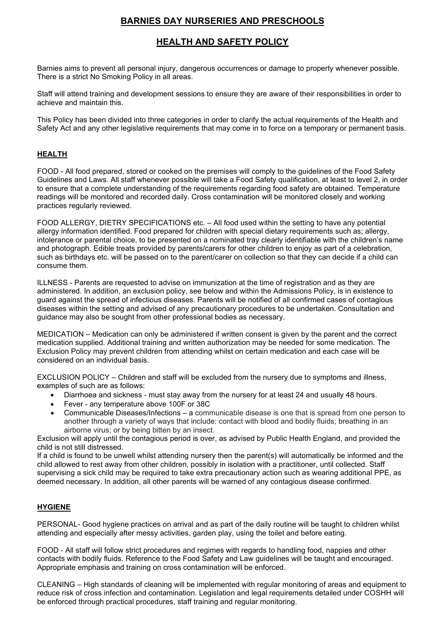## **BARNIES DAY NURSERIES AND PRESCHOOLS**

# **HEALTH AND SAFETY POLICY**

Barnies aims to prevent all personal injury, dangerous occurrences or damage to property whenever possible. There is a strict No Smoking Policy in all areas.

Staff will attend training and development sessions to ensure they are aware of their responsibilities in order to achieve and maintain this.

This Policy has been divided into three categories in order to clarify the actual requirements of the Health and Safety Act and any other legislative requirements that may come in to force on a temporary or permanent basis.

#### **HEALTH**

FOOD - All food prepared, stored or cooked on the premises will comply to the guidelines of the Food Safety Guidelines and Laws. All staff whenever possible will take a Food Safety qualification, at least to level 2, in order to ensure that a complete understanding of the requirements regarding food safety are obtained. Temperature readings will be monitored and recorded daily. Cross contamination will be monitored closely and working practices regularly reviewed.

FOOD ALLERGY, DIETRY SPECIFICATIONS etc. – All food used within the setting to have any potential allergy information identified. Food prepared for children with special dietary requirements such as; allergy, intolerance or parental choice, to be presented on a nominated tray clearly identifiable with the children's name and photograph. Edible treats provided by parents/carers for other children to enjoy as part of a celebration, such as birthdays etc. will be passed on to the parent/carer on collection so that they can decide if a child can consume them.

ILLNESS - Parents are requested to advise on immunization at the time of registration and as they are administered. In addition, an exclusion policy, see below and within the Admissions Policy, is in existence to guard against the spread of infectious diseases. Parents will be notified of all confirmed cases of contagious diseases within the setting and advised of any precautionary procedures to be undertaken. Consultation and guidance may also be sought from other professional bodies as necessary.

MEDICATION – Medication can only be administered if written consent is given by the parent and the correct medication supplied. Additional training and written authorization may be needed for some medication. The Exclusion Policy may prevent children from attending whilst on certain medication and each case will be considered on an individual basis.

EXCLUSION POLICY – Children and staff will be excluded from the nursery due to symptoms and illness, examples of such are as follows:

- Diarrhoea and sickness must stay away from the nursery for at least 24 and usually 48 hours.
- Fever any temperature above 100F or 38C
- Communicable Diseases/Infections a communicable disease is one that is spread from one person to another through a variety of ways that include: contact with blood and bodily fluids; breathing in an airborne virus; or by being bitten by an insect.

Exclusion will apply until the contagious period is over, as advised by Public Health England, and provided the child is not still distressed.

If a child is found to be unwell whilst attending nursery then the parent(s) will automatically be informed and the child allowed to rest away from other children, possibly in isolation with a practitioner, until collected. Staff supervising a sick child may be required to take extra precautionary action such as wearing additional PPE, as deemed necessary. In addition, all other parents will be warned of any contagious disease confirmed.

#### **HYGIENE**

PERSONAL- Good hygiene practices on arrival and as part of the daily routine will be taught to children whilst attending and especially after messy activities, garden play, using the toilet and before eating.

FOOD - All staff will follow strict procedures and regimes with regards to handling food, nappies and other contacts with bodily fluids. Reference to the Food Safety and Law guidelines will be taught and encouraged. Appropriate emphasis and training on cross contamination will be enforced.

CLEANING – High standards of cleaning will be implemented with regular monitoring of areas and equipment to reduce risk of cross infection and contamination. Legislation and legal requirements detailed under COSHH will be enforced through practical procedures, staff training and regular monitoring.